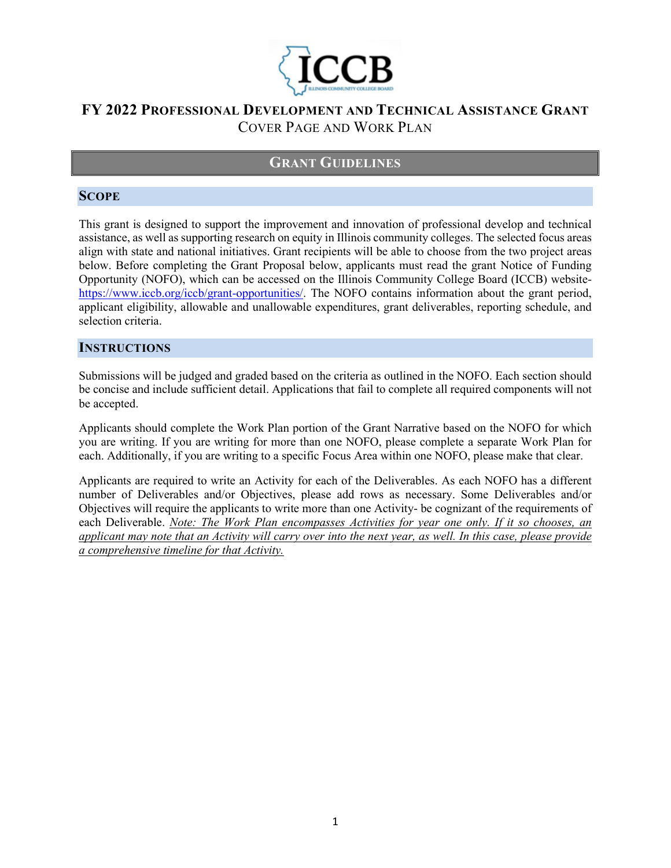

# **GRANT GUIDELINES**

#### **SCOPE**

This grant is designed to support the improvement and innovation of professional develop and technical assistance, as well as supporting research on equity in Illinois community colleges. The selected focus areas align with state and national initiatives. Grant recipients will be able to choose from the two project areas below. Before completing the Grant Proposal below, applicants must read the grant Notice of Funding Opportunity (NOFO), which can be accessed on the Illinois Community College Board (ICCB) website[https://www.iccb.org/iccb/grant-opportunities/.](https://www.iccb.org/iccb/grant-opportunities/) The NOFO contains information about the grant period, applicant eligibility, allowable and unallowable expenditures, grant deliverables, reporting schedule, and selection criteria.

#### **INSTRUCTIONS**

Submissions will be judged and graded based on the criteria as outlined in the NOFO. Each section should be concise and include sufficient detail. Applications that fail to complete all required components will not be accepted.

Applicants should complete the Work Plan portion of the Grant Narrative based on the NOFO for which you are writing. If you are writing for more than one NOFO, please complete a separate Work Plan for each. Additionally, if you are writing to a specific Focus Area within one NOFO, please make that clear.

Applicants are required to write an Activity for each of the Deliverables. As each NOFO has a different number of Deliverables and/or Objectives, please add rows as necessary. Some Deliverables and/or Objectives will require the applicants to write more than one Activity- be cognizant of the requirements of each Deliverable. *Note: The Work Plan encompasses Activities for year one only. If it so chooses, an applicant may note that an Activity will carry over into the next year, as well. In this case, please provide a comprehensive timeline for that Activity.*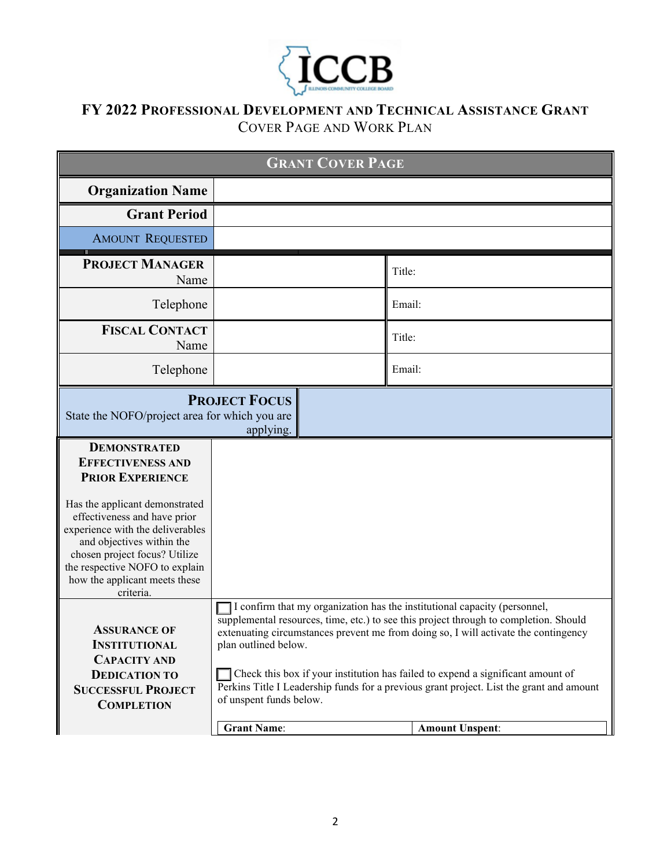

| <b>GRANT COVER PAGE</b>                                                                                                                                                                                                                                                                                                        |                                                                                                                                                                                                                                                                                                                                                                                                                                                                                                                                             |        |
|--------------------------------------------------------------------------------------------------------------------------------------------------------------------------------------------------------------------------------------------------------------------------------------------------------------------------------|---------------------------------------------------------------------------------------------------------------------------------------------------------------------------------------------------------------------------------------------------------------------------------------------------------------------------------------------------------------------------------------------------------------------------------------------------------------------------------------------------------------------------------------------|--------|
| <b>Organization Name</b>                                                                                                                                                                                                                                                                                                       |                                                                                                                                                                                                                                                                                                                                                                                                                                                                                                                                             |        |
| <b>Grant Period</b>                                                                                                                                                                                                                                                                                                            |                                                                                                                                                                                                                                                                                                                                                                                                                                                                                                                                             |        |
| <b>AMOUNT REQUESTED</b>                                                                                                                                                                                                                                                                                                        |                                                                                                                                                                                                                                                                                                                                                                                                                                                                                                                                             |        |
| <b>PROJECT MANAGER</b><br>Name                                                                                                                                                                                                                                                                                                 |                                                                                                                                                                                                                                                                                                                                                                                                                                                                                                                                             | Title: |
| Telephone                                                                                                                                                                                                                                                                                                                      |                                                                                                                                                                                                                                                                                                                                                                                                                                                                                                                                             | Email: |
| <b>FISCAL CONTACT</b><br>Name                                                                                                                                                                                                                                                                                                  |                                                                                                                                                                                                                                                                                                                                                                                                                                                                                                                                             | Title: |
| Telephone                                                                                                                                                                                                                                                                                                                      |                                                                                                                                                                                                                                                                                                                                                                                                                                                                                                                                             | Email: |
| <b>PROJECT FOCUS</b><br>State the NOFO/project area for which you are<br>applying.                                                                                                                                                                                                                                             |                                                                                                                                                                                                                                                                                                                                                                                                                                                                                                                                             |        |
| <b>DEMONSTRATED</b><br><b>EFFECTIVENESS AND</b><br><b>PRIOR EXPERIENCE</b><br>Has the applicant demonstrated<br>effectiveness and have prior<br>experience with the deliverables<br>and objectives within the<br>chosen project focus? Utilize<br>the respective NOFO to explain<br>how the applicant meets these<br>criteria. |                                                                                                                                                                                                                                                                                                                                                                                                                                                                                                                                             |        |
| <b>ASSURANCE OF</b><br>INSTITUTIONAL<br><b>CAPACITY AND</b><br><b>DEDICATION TO</b><br><b>SUCCESSFUL PROJECT</b><br><b>COMPLETION</b>                                                                                                                                                                                          | I confirm that my organization has the institutional capacity (personnel,<br>supplemental resources, time, etc.) to see this project through to completion. Should<br>extenuating circumstances prevent me from doing so, I will activate the contingency<br>plan outlined below.<br>Check this box if your institution has failed to expend a significant amount of<br>Perkins Title I Leadership funds for a previous grant project. List the grant and amount<br>of unspent funds below.<br><b>Grant Name:</b><br><b>Amount Unspent:</b> |        |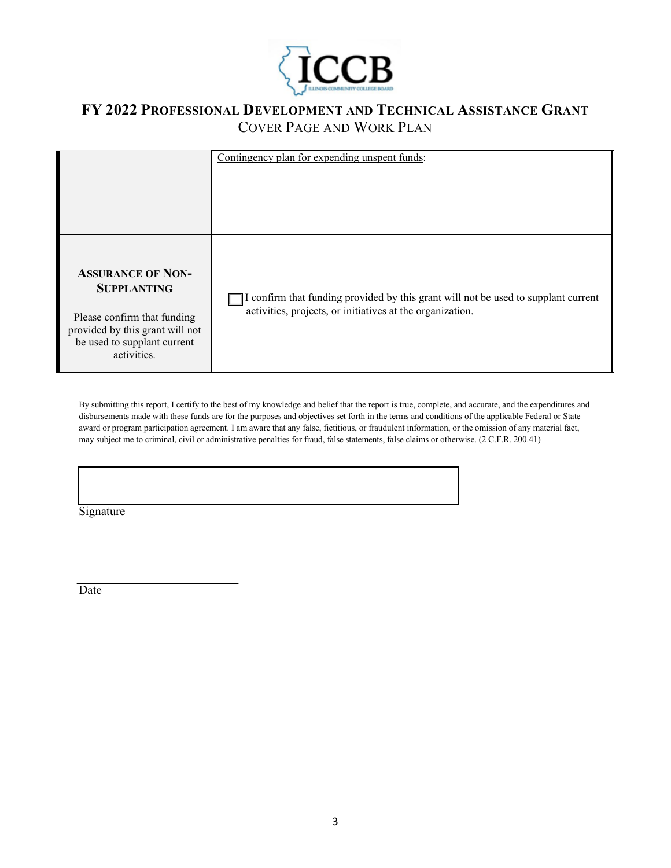

|                                                                                                                                                                | Contingency plan for expending unspent funds:                                                                                                   |  |
|----------------------------------------------------------------------------------------------------------------------------------------------------------------|-------------------------------------------------------------------------------------------------------------------------------------------------|--|
| <b>ASSURANCE OF NON-</b><br><b>SUPPLANTING</b><br>Please confirm that funding<br>provided by this grant will not<br>be used to supplant current<br>activities. | I confirm that funding provided by this grant will not be used to supplant current<br>activities, projects, or initiatives at the organization. |  |

By submitting this report, I certify to the best of my knowledge and belief that the report is true, complete, and accurate, and the expenditures and disbursements made with these funds are for the purposes and objectives set forth in the terms and conditions of the applicable Federal or State award or program participation agreement. I am aware that any false, fictitious, or fraudulent information, or the omission of any material fact, may subject me to criminal, civil or administrative penalties for fraud, false statements, false claims or otherwise. (2 C.F.R. 200.41)

Signature

**Date**